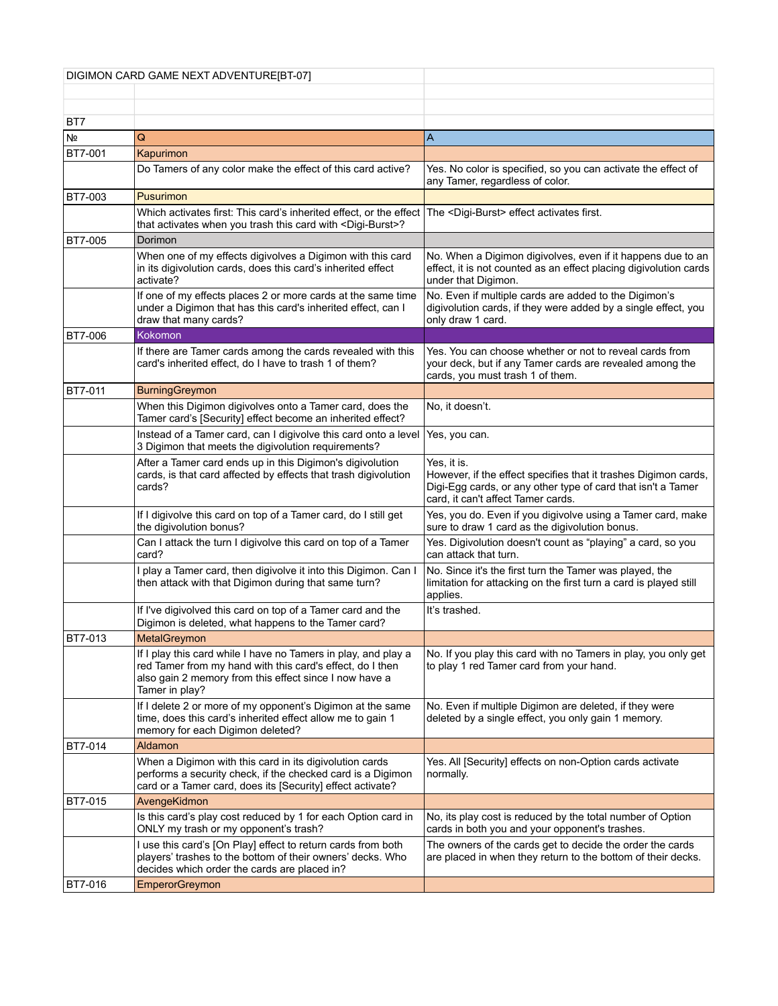| DIGIMON CARD GAME NEXT ADVENTURE[BT-07] |                                                                                                                                                                                                         |                                                                                                                                                                                      |
|-----------------------------------------|---------------------------------------------------------------------------------------------------------------------------------------------------------------------------------------------------------|--------------------------------------------------------------------------------------------------------------------------------------------------------------------------------------|
|                                         |                                                                                                                                                                                                         |                                                                                                                                                                                      |
|                                         |                                                                                                                                                                                                         |                                                                                                                                                                                      |
| BT7                                     |                                                                                                                                                                                                         |                                                                                                                                                                                      |
| Nº                                      | Q                                                                                                                                                                                                       | Α                                                                                                                                                                                    |
| <b>BT7-001</b>                          | Kapurimon                                                                                                                                                                                               |                                                                                                                                                                                      |
|                                         | Do Tamers of any color make the effect of this card active?                                                                                                                                             | Yes. No color is specified, so you can activate the effect of<br>any Tamer, regardless of color.                                                                                     |
| <b>BT7-003</b>                          | Pusurimon                                                                                                                                                                                               |                                                                                                                                                                                      |
|                                         | Which activates first: This card's inherited effect, or the effect<br>that activates when you trash this card with <digi-burst>?</digi-burst>                                                           | The <digi-burst> effect activates first.</digi-burst>                                                                                                                                |
| <b>BT7-005</b>                          | Dorimon                                                                                                                                                                                                 |                                                                                                                                                                                      |
|                                         | When one of my effects digivolves a Digimon with this card<br>in its digivolution cards, does this card's inherited effect<br>activate?                                                                 | No. When a Digimon digivolves, even if it happens due to an<br>effect, it is not counted as an effect placing digivolution cards<br>under that Digimon.                              |
|                                         | If one of my effects places 2 or more cards at the same time<br>under a Digimon that has this card's inherited effect, can I<br>draw that many cards?                                                   | No. Even if multiple cards are added to the Digimon's<br>digivolution cards, if they were added by a single effect, you<br>only draw 1 card.                                         |
| BT7-006                                 | Kokomon                                                                                                                                                                                                 |                                                                                                                                                                                      |
|                                         | If there are Tamer cards among the cards revealed with this<br>card's inherited effect, do I have to trash 1 of them?                                                                                   | Yes. You can choose whether or not to reveal cards from<br>your deck, but if any Tamer cards are revealed among the<br>cards, you must trash 1 of them.                              |
| <b>BT7-011</b>                          | <b>BurningGreymon</b>                                                                                                                                                                                   |                                                                                                                                                                                      |
|                                         | When this Digimon digivolves onto a Tamer card, does the<br>Tamer card's [Security] effect become an inherited effect?                                                                                  | No. it doesn't.                                                                                                                                                                      |
|                                         | Instead of a Tamer card, can I digivolve this card onto a level<br>3 Digimon that meets the digivolution requirements?                                                                                  | Yes, you can.                                                                                                                                                                        |
|                                         | After a Tamer card ends up in this Digimon's digivolution<br>cards, is that card affected by effects that trash digivolution<br>cards?                                                                  | Yes, it is.<br>However, if the effect specifies that it trashes Digimon cards,<br>Digi-Egg cards, or any other type of card that isn't a Tamer<br>card, it can't affect Tamer cards. |
|                                         | If I digivolve this card on top of a Tamer card, do I still get<br>the digivolution bonus?                                                                                                              | Yes, you do. Even if you digivolve using a Tamer card, make<br>sure to draw 1 card as the digivolution bonus.                                                                        |
|                                         | Can I attack the turn I digivolve this card on top of a Tamer<br>card?                                                                                                                                  | Yes. Digivolution doesn't count as "playing" a card, so you<br>can attack that turn.                                                                                                 |
|                                         | I play a Tamer card, then digivolve it into this Digimon. Can I<br>then attack with that Digimon during that same turn?                                                                                 | No. Since it's the first turn the Tamer was played, the<br>limitation for attacking on the first turn a card is played still<br>applies.                                             |
|                                         | If I've digivolved this card on top of a Tamer card and the<br>Digimon is deleted, what happens to the Tamer card?                                                                                      | It's trashed.                                                                                                                                                                        |
| BT7-013                                 | MetalGreymon                                                                                                                                                                                            |                                                                                                                                                                                      |
|                                         | If I play this card while I have no Tamers in play, and play a<br>red Tamer from my hand with this card's effect, do I then<br>also gain 2 memory from this effect since I now have a<br>Tamer in play? | No. If you play this card with no Tamers in play, you only get<br>to play 1 red Tamer card from your hand.                                                                           |
|                                         | If I delete 2 or more of my opponent's Digimon at the same<br>time, does this card's inherited effect allow me to gain 1<br>memory for each Digimon deleted?                                            | No. Even if multiple Digimon are deleted, if they were<br>deleted by a single effect, you only gain 1 memory.                                                                        |
| <b>BT7-014</b>                          | Aldamon                                                                                                                                                                                                 |                                                                                                                                                                                      |
|                                         | When a Digimon with this card in its digivolution cards<br>performs a security check, if the checked card is a Digimon<br>card or a Tamer card, does its [Security] effect activate?                    | Yes. All [Security] effects on non-Option cards activate<br>normally.                                                                                                                |
| BT7-015                                 | AvengeKidmon                                                                                                                                                                                            |                                                                                                                                                                                      |
|                                         | Is this card's play cost reduced by 1 for each Option card in<br>ONLY my trash or my opponent's trash?                                                                                                  | No, its play cost is reduced by the total number of Option<br>cards in both you and your opponent's trashes.                                                                         |
|                                         | I use this card's [On Play] effect to return cards from both<br>players' trashes to the bottom of their owners' decks. Who<br>decides which order the cards are placed in?                              | The owners of the cards get to decide the order the cards<br>are placed in when they return to the bottom of their decks.                                                            |
| <b>BT7-016</b>                          | EmperorGreymon                                                                                                                                                                                          |                                                                                                                                                                                      |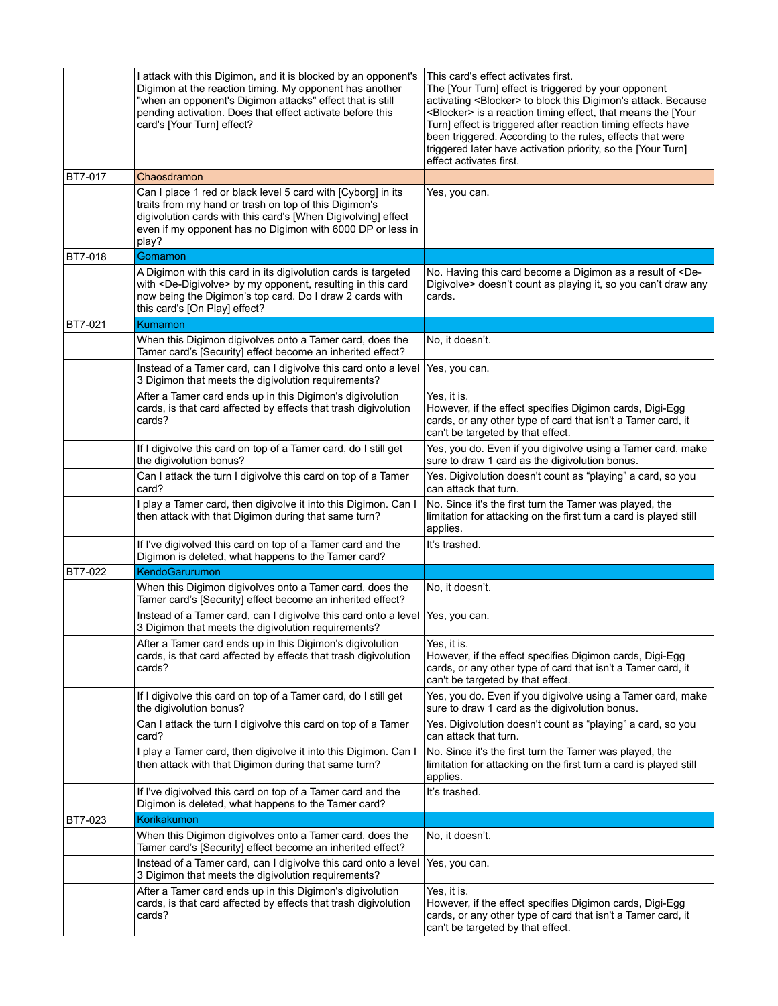|                | I attack with this Digimon, and it is blocked by an opponent's<br>Digimon at the reaction timing. My opponent has another<br>"when an opponent's Digimon attacks" effect that is still<br>pending activation. Does that effect activate before this<br>card's [Your Turn] effect? | This card's effect activates first.<br>The [Your Turn] effect is triggered by your opponent<br>activating <blocker> to block this Digimon's attack. Because<br/><blocker> is a reaction timing effect, that means the [Your<br/>Turn] effect is triggered after reaction timing effects have<br/>been triggered. According to the rules, effects that were<br/>triggered later have activation priority, so the [Your Turn]<br/>effect activates first.</blocker></blocker> |
|----------------|-----------------------------------------------------------------------------------------------------------------------------------------------------------------------------------------------------------------------------------------------------------------------------------|-----------------------------------------------------------------------------------------------------------------------------------------------------------------------------------------------------------------------------------------------------------------------------------------------------------------------------------------------------------------------------------------------------------------------------------------------------------------------------|
| BT7-017        | Chaosdramon                                                                                                                                                                                                                                                                       |                                                                                                                                                                                                                                                                                                                                                                                                                                                                             |
|                | Can I place 1 red or black level 5 card with [Cyborg] in its<br>traits from my hand or trash on top of this Digimon's<br>digivolution cards with this card's [When Digivolving] effect<br>even if my opponent has no Digimon with 6000 DP or less in<br>play?                     | Yes, you can.                                                                                                                                                                                                                                                                                                                                                                                                                                                               |
| <b>BT7-018</b> | Gomamon                                                                                                                                                                                                                                                                           |                                                                                                                                                                                                                                                                                                                                                                                                                                                                             |
|                | A Digimon with this card in its digivolution cards is targeted<br>with <de-digivolve> by my opponent, resulting in this card<br/>now being the Digimon's top card. Do I draw 2 cards with<br/>this card's [On Play] effect?</de-digivolve>                                        | No. Having this card become a Digimon as a result of <de-<br>Digivolve &gt; doesn't count as playing it, so you can't draw any<br/>cards.</de-<br>                                                                                                                                                                                                                                                                                                                          |
| BT7-021        | Kumamon                                                                                                                                                                                                                                                                           |                                                                                                                                                                                                                                                                                                                                                                                                                                                                             |
|                | When this Digimon digivolves onto a Tamer card, does the<br>Tamer card's [Security] effect become an inherited effect?                                                                                                                                                            | No, it doesn't.                                                                                                                                                                                                                                                                                                                                                                                                                                                             |
|                | Instead of a Tamer card, can I digivolve this card onto a level<br>3 Digimon that meets the digivolution requirements?                                                                                                                                                            | Yes, you can.                                                                                                                                                                                                                                                                                                                                                                                                                                                               |
|                | After a Tamer card ends up in this Digimon's digivolution<br>cards, is that card affected by effects that trash digivolution<br>cards?                                                                                                                                            | Yes, it is.<br>However, if the effect specifies Digimon cards, Digi-Egg<br>cards, or any other type of card that isn't a Tamer card, it<br>can't be targeted by that effect.                                                                                                                                                                                                                                                                                                |
|                | If I digivolve this card on top of a Tamer card, do I still get<br>the digivolution bonus?                                                                                                                                                                                        | Yes, you do. Even if you digivolve using a Tamer card, make<br>sure to draw 1 card as the digivolution bonus.                                                                                                                                                                                                                                                                                                                                                               |
|                | Can I attack the turn I digivolve this card on top of a Tamer<br>card?                                                                                                                                                                                                            | Yes. Digivolution doesn't count as "playing" a card, so you<br>can attack that turn.                                                                                                                                                                                                                                                                                                                                                                                        |
|                | I play a Tamer card, then digivolve it into this Digimon. Can I<br>then attack with that Digimon during that same turn?                                                                                                                                                           | No. Since it's the first turn the Tamer was played, the<br>limitation for attacking on the first turn a card is played still<br>applies.                                                                                                                                                                                                                                                                                                                                    |
|                | If I've digivolved this card on top of a Tamer card and the<br>Digimon is deleted, what happens to the Tamer card?                                                                                                                                                                | It's trashed.                                                                                                                                                                                                                                                                                                                                                                                                                                                               |
| BT7-022        | KendoGarurumon                                                                                                                                                                                                                                                                    |                                                                                                                                                                                                                                                                                                                                                                                                                                                                             |
|                | When this Digimon digivolves onto a Tamer card, does the<br>Tamer card's [Security] effect become an inherited effect?                                                                                                                                                            | No, it doesn't.                                                                                                                                                                                                                                                                                                                                                                                                                                                             |
|                | Instead of a Tamer card, can I digivolve this card onto a level<br>3 Digimon that meets the digivolution requirements?                                                                                                                                                            | Yes, you can.                                                                                                                                                                                                                                                                                                                                                                                                                                                               |
|                | After a Tamer card ends up in this Digimon's digivolution<br>cards, is that card affected by effects that trash digivolution<br>cards?                                                                                                                                            | Yes, it is.<br>However, if the effect specifies Digimon cards, Digi-Egg<br>cards, or any other type of card that isn't a Tamer card, it<br>can't be targeted by that effect.                                                                                                                                                                                                                                                                                                |
|                | If I digivolve this card on top of a Tamer card, do I still get<br>the digivolution bonus?                                                                                                                                                                                        | Yes, you do. Even if you digivolve using a Tamer card, make<br>sure to draw 1 card as the digivolution bonus.                                                                                                                                                                                                                                                                                                                                                               |
|                | Can I attack the turn I digivolve this card on top of a Tamer<br>card?                                                                                                                                                                                                            | Yes. Digivolution doesn't count as "playing" a card, so you<br>can attack that turn.                                                                                                                                                                                                                                                                                                                                                                                        |
|                | I play a Tamer card, then digivolve it into this Digimon. Can I<br>then attack with that Digimon during that same turn?                                                                                                                                                           | No. Since it's the first turn the Tamer was played, the<br>limitation for attacking on the first turn a card is played still<br>applies.                                                                                                                                                                                                                                                                                                                                    |
|                | If I've digivolved this card on top of a Tamer card and the<br>Digimon is deleted, what happens to the Tamer card?                                                                                                                                                                | It's trashed.                                                                                                                                                                                                                                                                                                                                                                                                                                                               |
| BT7-023        | Korikakumon                                                                                                                                                                                                                                                                       |                                                                                                                                                                                                                                                                                                                                                                                                                                                                             |
|                | When this Digimon digivolves onto a Tamer card, does the<br>Tamer card's [Security] effect become an inherited effect?                                                                                                                                                            | No, it doesn't.                                                                                                                                                                                                                                                                                                                                                                                                                                                             |
|                | Instead of a Tamer card, can I digivolve this card onto a level<br>3 Digimon that meets the digivolution requirements?                                                                                                                                                            | Yes, you can.                                                                                                                                                                                                                                                                                                                                                                                                                                                               |
|                | After a Tamer card ends up in this Digimon's digivolution<br>cards, is that card affected by effects that trash digivolution<br>cards?                                                                                                                                            | Yes, it is.<br>However, if the effect specifies Digimon cards, Digi-Egg<br>cards, or any other type of card that isn't a Tamer card, it<br>can't be targeted by that effect.                                                                                                                                                                                                                                                                                                |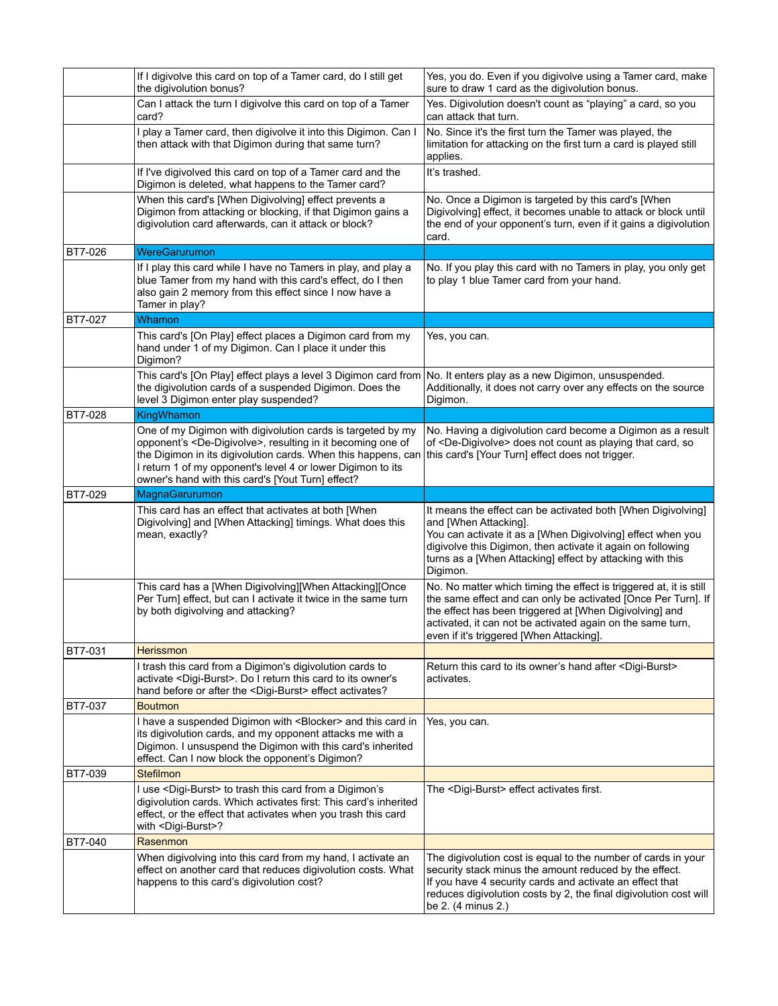|                | If I digivolve this card on top of a Tamer card, do I still get<br>the digivolution bonus?                                                                                                                                                                                                                                       | Yes, you do. Even if you digivolve using a Tamer card, make<br>sure to draw 1 card as the digivolution bonus.                                                                                                                                                                                            |
|----------------|----------------------------------------------------------------------------------------------------------------------------------------------------------------------------------------------------------------------------------------------------------------------------------------------------------------------------------|----------------------------------------------------------------------------------------------------------------------------------------------------------------------------------------------------------------------------------------------------------------------------------------------------------|
|                | Can I attack the turn I digivolve this card on top of a Tamer<br>card?                                                                                                                                                                                                                                                           | Yes. Digivolution doesn't count as "playing" a card, so you<br>can attack that turn.                                                                                                                                                                                                                     |
|                | I play a Tamer card, then digivolve it into this Digimon. Can I<br>then attack with that Digimon during that same turn?                                                                                                                                                                                                          | No. Since it's the first turn the Tamer was played, the<br>limitation for attacking on the first turn a card is played still<br>applies.                                                                                                                                                                 |
|                | If I've digivolved this card on top of a Tamer card and the<br>Digimon is deleted, what happens to the Tamer card?                                                                                                                                                                                                               | It's trashed.                                                                                                                                                                                                                                                                                            |
|                | When this card's [When Digivolving] effect prevents a<br>Digimon from attacking or blocking, if that Digimon gains a<br>digivolution card afterwards, can it attack or block?                                                                                                                                                    | No. Once a Digimon is targeted by this card's [When<br>Digivolving] effect, it becomes unable to attack or block until<br>the end of your opponent's turn, even if it gains a digivolution<br>card.                                                                                                      |
| BT7-026        | WereGarurumon                                                                                                                                                                                                                                                                                                                    |                                                                                                                                                                                                                                                                                                          |
|                | If I play this card while I have no Tamers in play, and play a<br>blue Tamer from my hand with this card's effect, do I then<br>also gain 2 memory from this effect since I now have a<br>Tamer in play?                                                                                                                         | No. If you play this card with no Tamers in play, you only get<br>to play 1 blue Tamer card from your hand.                                                                                                                                                                                              |
| BT7-027        | Whamon                                                                                                                                                                                                                                                                                                                           |                                                                                                                                                                                                                                                                                                          |
|                | This card's [On Play] effect places a Digimon card from my<br>hand under 1 of my Digimon. Can I place it under this<br>Digimon?                                                                                                                                                                                                  | Yes, you can.                                                                                                                                                                                                                                                                                            |
|                | This card's [On Play] effect plays a level 3 Digimon card from<br>the digivolution cards of a suspended Digimon. Does the<br>level 3 Digimon enter play suspended?                                                                                                                                                               | No. It enters play as a new Digimon, unsuspended.<br>Additionally, it does not carry over any effects on the source<br>Digimon.                                                                                                                                                                          |
| <b>BT7-028</b> | KingWhamon                                                                                                                                                                                                                                                                                                                       |                                                                                                                                                                                                                                                                                                          |
|                | One of my Digimon with digivolution cards is targeted by my<br>opponent's <de-digivolve>, resulting in it becoming one of<br/>the Digimon in its digivolution cards. When this happens, can<br/>I return 1 of my opponent's level 4 or lower Digimon to its<br/>owner's hand with this card's [Yout Turn] effect?</de-digivolve> | No. Having a digivolution card become a Digimon as a result<br>of <de-digivolve> does not count as playing that card, so<br/>this card's [Your Turn] effect does not trigger.</de-digivolve>                                                                                                             |
|                |                                                                                                                                                                                                                                                                                                                                  |                                                                                                                                                                                                                                                                                                          |
| BT7-029        | MagnaGarurumon                                                                                                                                                                                                                                                                                                                   |                                                                                                                                                                                                                                                                                                          |
|                | This card has an effect that activates at both [When<br>Digivolving] and [When Attacking] timings. What does this<br>mean, exactly?                                                                                                                                                                                              | It means the effect can be activated both [When Digivolving]<br>and [When Attacking].<br>You can activate it as a [When Digivolving] effect when you<br>digivolve this Digimon, then activate it again on following<br>turns as a [When Attacking] effect by attacking with this<br>Digimon.             |
|                | This card has a [When Digivolving][When Attacking][Once<br>Per Turn] effect, but can I activate it twice in the same turn<br>by both digivolving and attacking?                                                                                                                                                                  | No. No matter which timing the effect is triggered at, it is still<br>the same effect and can only be activated [Once Per Turn]. If<br>the effect has been triggered at [When Digivolving] and<br>activated, it can not be activated again on the same turn,<br>even if it's triggered [When Attacking]. |
| BT7-031        | <b>Herissmon</b>                                                                                                                                                                                                                                                                                                                 |                                                                                                                                                                                                                                                                                                          |
|                | I trash this card from a Digimon's digivolution cards to<br>activate <digi-burst>. Do I return this card to its owner's<br/>hand before or after the <digi-burst> effect activates?</digi-burst></digi-burst>                                                                                                                    | Return this card to its owner's hand after <digi-burst><br/>activates.</digi-burst>                                                                                                                                                                                                                      |
| BT7-037        | <b>Boutmon</b>                                                                                                                                                                                                                                                                                                                   |                                                                                                                                                                                                                                                                                                          |
|                | I have a suspended Digimon with <blocker> and this card in<br/>its digivolution cards, and my opponent attacks me with a<br/>Digimon. I unsuspend the Digimon with this card's inherited<br/>effect. Can I now block the opponent's Digimon?</blocker>                                                                           | Yes, you can.                                                                                                                                                                                                                                                                                            |
| <b>BT7-039</b> | Stefilmon                                                                                                                                                                                                                                                                                                                        |                                                                                                                                                                                                                                                                                                          |
|                | I use <digi-burst> to trash this card from a Digimon's<br/>digivolution cards. Which activates first: This card's inherited<br/>effect, or the effect that activates when you trash this card<br/>with <digi-burst>?</digi-burst></digi-burst>                                                                                   | The <digi-burst> effect activates first.</digi-burst>                                                                                                                                                                                                                                                    |
| <b>BT7-040</b> | Rasenmon                                                                                                                                                                                                                                                                                                                         |                                                                                                                                                                                                                                                                                                          |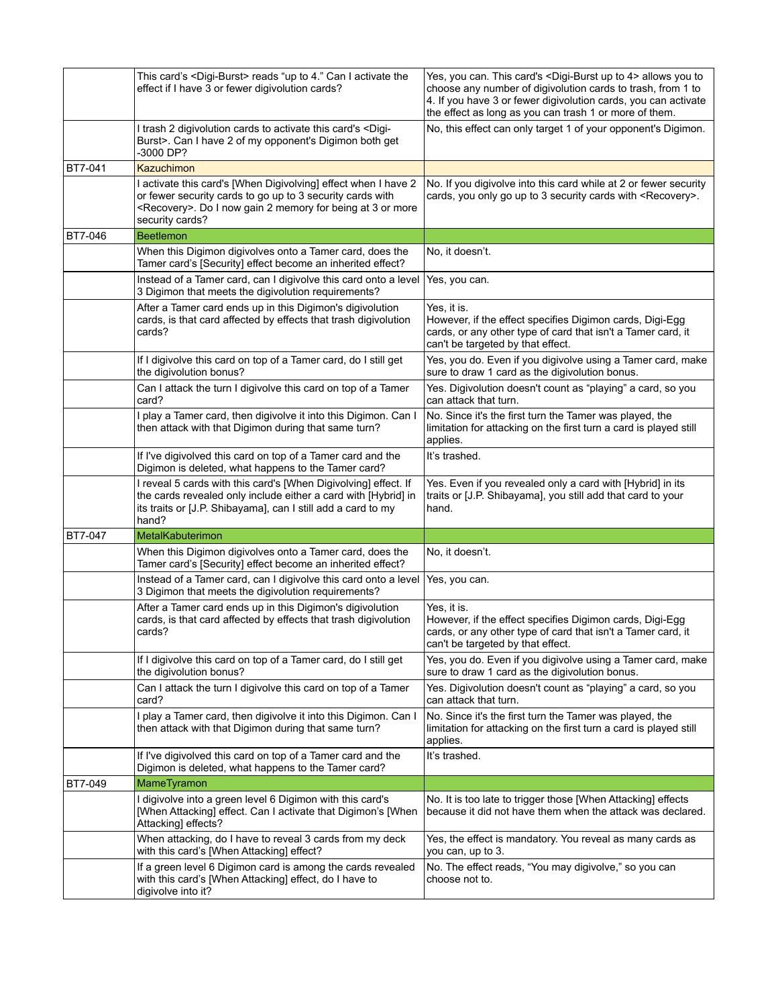|                | This card's <digi-burst> reads "up to 4." Can I activate the<br/>effect if I have 3 or fewer digivolution cards?</digi-burst>                                                                                           | Yes, you can. This card's <digi-burst 4="" to="" up=""> allows you to<br/>choose any number of digivolution cards to trash, from 1 to<br/>4. If you have 3 or fewer digivolution cards, you can activate<br/>the effect as long as you can trash 1 or more of them.</digi-burst> |
|----------------|-------------------------------------------------------------------------------------------------------------------------------------------------------------------------------------------------------------------------|----------------------------------------------------------------------------------------------------------------------------------------------------------------------------------------------------------------------------------------------------------------------------------|
|                | I trash 2 digivolution cards to activate this card's <digi-<br>Burst&gt;. Can I have 2 of my opponent's Digimon both get<br/>-3000 DP?</digi-<br>                                                                       | No, this effect can only target 1 of your opponent's Digimon.                                                                                                                                                                                                                    |
| <b>BT7-041</b> | Kazuchimon                                                                                                                                                                                                              |                                                                                                                                                                                                                                                                                  |
|                | I activate this card's [When Digivolving] effect when I have 2<br>or fewer security cards to go up to 3 security cards with<br><recovery>. Do I now gain 2 memory for being at 3 or more<br/>security cards?</recovery> | No. If you digivolve into this card while at 2 or fewer security<br>cards, you only go up to 3 security cards with <recovery>.</recovery>                                                                                                                                        |
| BT7-046        | <b>Beetlemon</b>                                                                                                                                                                                                        |                                                                                                                                                                                                                                                                                  |
|                | When this Digimon digivolves onto a Tamer card, does the<br>Tamer card's [Security] effect become an inherited effect?                                                                                                  | No, it doesn't.                                                                                                                                                                                                                                                                  |
|                | Instead of a Tamer card, can I digivolve this card onto a level<br>3 Digimon that meets the digivolution requirements?                                                                                                  | Yes, you can.                                                                                                                                                                                                                                                                    |
|                | After a Tamer card ends up in this Digimon's digivolution<br>cards, is that card affected by effects that trash digivolution<br>cards?                                                                                  | Yes, it is.<br>However, if the effect specifies Digimon cards, Digi-Egg<br>cards, or any other type of card that isn't a Tamer card, it<br>can't be targeted by that effect.                                                                                                     |
|                | If I digivolve this card on top of a Tamer card, do I still get<br>the digivolution bonus?                                                                                                                              | Yes, you do. Even if you digivolve using a Tamer card, make<br>sure to draw 1 card as the digivolution bonus.                                                                                                                                                                    |
|                | Can I attack the turn I digivolve this card on top of a Tamer<br>card?                                                                                                                                                  | Yes. Digivolution doesn't count as "playing" a card, so you<br>can attack that turn.                                                                                                                                                                                             |
|                | I play a Tamer card, then digivolve it into this Digimon. Can I<br>then attack with that Digimon during that same turn?                                                                                                 | No. Since it's the first turn the Tamer was played, the<br>limitation for attacking on the first turn a card is played still<br>applies.                                                                                                                                         |
|                | If I've digivolved this card on top of a Tamer card and the<br>Digimon is deleted, what happens to the Tamer card?                                                                                                      | It's trashed.                                                                                                                                                                                                                                                                    |
|                | I reveal 5 cards with this card's [When Digivolving] effect. If<br>the cards revealed only include either a card with [Hybrid] in<br>its traits or [J.P. Shibayama], can I still add a card to my<br>hand?              | Yes. Even if you revealed only a card with [Hybrid] in its<br>traits or [J.P. Shibayama], you still add that card to your<br>hand.                                                                                                                                               |
| <b>BT7-047</b> | <b>MetalKabuterimon</b>                                                                                                                                                                                                 |                                                                                                                                                                                                                                                                                  |
|                | When this Digimon digivolves onto a Tamer card, does the<br>Tamer card's [Security] effect become an inherited effect?                                                                                                  | No, it doesn't.                                                                                                                                                                                                                                                                  |
|                | Instead of a Tamer card, can I digivolve this card onto a level<br>3 Digimon that meets the digivolution requirements?                                                                                                  | Yes, you can.                                                                                                                                                                                                                                                                    |
|                | After a Tamer card ends up in this Digimon's digivolution<br>cards, is that card affected by effects that trash digivolution<br>cards?                                                                                  | Yes, it is.<br>However, if the effect specifies Digimon cards, Digi-Egg<br>cards, or any other type of card that isn't a Tamer card, it<br>can't be targeted by that effect.                                                                                                     |
|                | If I digivolve this card on top of a Tamer card, do I still get<br>the digivolution bonus?                                                                                                                              | Yes, you do. Even if you digivolve using a Tamer card, make<br>sure to draw 1 card as the digivolution bonus.                                                                                                                                                                    |
|                | Can I attack the turn I digivolve this card on top of a Tamer<br>card?                                                                                                                                                  | Yes. Digivolution doesn't count as "playing" a card, so you<br>can attack that turn.                                                                                                                                                                                             |
|                | play a Tamer card, then digivolve it into this Digimon. Can I<br>then attack with that Digimon during that same turn?                                                                                                   | No. Since it's the first turn the Tamer was played, the<br>limitation for attacking on the first turn a card is played still<br>applies.                                                                                                                                         |
|                | If I've digivolved this card on top of a Tamer card and the<br>Digimon is deleted, what happens to the Tamer card?                                                                                                      | It's trashed.                                                                                                                                                                                                                                                                    |
| BT7-049        | MameTyramon                                                                                                                                                                                                             |                                                                                                                                                                                                                                                                                  |
|                | digivolve into a green level 6 Digimon with this card's<br>[When Attacking] effect. Can I activate that Digimon's [When]<br>Attacking] effects?                                                                         | No. It is too late to trigger those [When Attacking] effects<br>because it did not have them when the attack was declared.                                                                                                                                                       |
|                | When attacking, do I have to reveal 3 cards from my deck<br>with this card's [When Attacking] effect?                                                                                                                   | Yes, the effect is mandatory. You reveal as many cards as<br>you can, up to 3.                                                                                                                                                                                                   |
|                | If a green level 6 Digimon card is among the cards revealed<br>with this card's [When Attacking] effect, do I have to<br>digivolve into it?                                                                             | No. The effect reads, "You may digivolve," so you can<br>choose not to.                                                                                                                                                                                                          |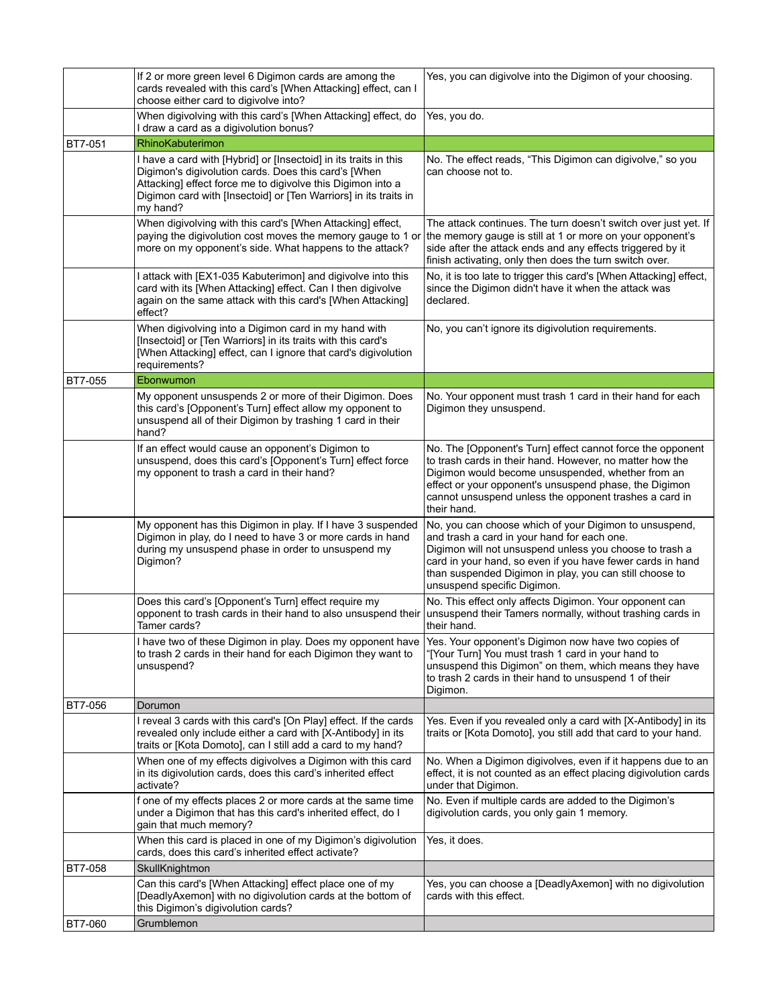|                | If 2 or more green level 6 Digimon cards are among the<br>cards revealed with this card's [When Attacking] effect, can I<br>choose either card to digivolve into?                                                                                                       | Yes, you can digivolve into the Digimon of your choosing.                                                                                                                                                                                                                                                                |
|----------------|-------------------------------------------------------------------------------------------------------------------------------------------------------------------------------------------------------------------------------------------------------------------------|--------------------------------------------------------------------------------------------------------------------------------------------------------------------------------------------------------------------------------------------------------------------------------------------------------------------------|
|                | When digivolving with this card's [When Attacking] effect, do<br>I draw a card as a digivolution bonus?                                                                                                                                                                 | Yes, you do.                                                                                                                                                                                                                                                                                                             |
| <b>BT7-051</b> | RhinoKabuterimon                                                                                                                                                                                                                                                        |                                                                                                                                                                                                                                                                                                                          |
|                | I have a card with [Hybrid] or [Insectoid] in its traits in this<br>Digimon's digivolution cards. Does this card's [When<br>Attacking] effect force me to digivolve this Digimon into a<br>Digimon card with [Insectoid] or [Ten Warriors] in its traits in<br>my hand? | No. The effect reads, "This Digimon can digivolve," so you<br>can choose not to.                                                                                                                                                                                                                                         |
|                | When digivolving with this card's [When Attacking] effect,<br>paying the digivolution cost moves the memory gauge to 1 or<br>more on my opponent's side. What happens to the attack?                                                                                    | The attack continues. The turn doesn't switch over just yet. If<br>the memory gauge is still at 1 or more on your opponent's<br>side after the attack ends and any effects triggered by it<br>finish activating, only then does the turn switch over.                                                                    |
|                | I attack with [EX1-035 Kabuterimon] and digivolve into this<br>card with its [When Attacking] effect. Can I then digivolve<br>again on the same attack with this card's [When Attacking]<br>effect?                                                                     | No, it is too late to trigger this card's [When Attacking] effect,<br>since the Digimon didn't have it when the attack was<br>declared.                                                                                                                                                                                  |
|                | When digivolving into a Digimon card in my hand with<br>[Insectoid] or [Ten Warriors] in its traits with this card's<br>[When Attacking] effect, can I ignore that card's digivolution<br>requirements?                                                                 | No, you can't ignore its digivolution requirements.                                                                                                                                                                                                                                                                      |
| BT7-055        | Ebonwumon                                                                                                                                                                                                                                                               |                                                                                                                                                                                                                                                                                                                          |
|                | My opponent unsuspends 2 or more of their Digimon. Does<br>this card's [Opponent's Turn] effect allow my opponent to<br>unsuspend all of their Digimon by trashing 1 card in their<br>hand?                                                                             | No. Your opponent must trash 1 card in their hand for each<br>Digimon they unsuspend.                                                                                                                                                                                                                                    |
|                | If an effect would cause an opponent's Digimon to<br>unsuspend, does this card's [Opponent's Turn] effect force<br>my opponent to trash a card in their hand?                                                                                                           | No. The [Opponent's Turn] effect cannot force the opponent<br>to trash cards in their hand. However, no matter how the<br>Digimon would become unsuspended, whether from an<br>effect or your opponent's unsuspend phase, the Digimon<br>cannot unsuspend unless the opponent trashes a card in<br>their hand.           |
|                | My opponent has this Digimon in play. If I have 3 suspended<br>Digimon in play, do I need to have 3 or more cards in hand<br>during my unsuspend phase in order to unsuspend my<br>Digimon?                                                                             | No, you can choose which of your Digimon to unsuspend,<br>and trash a card in your hand for each one.<br>Digimon will not unsuspend unless you choose to trash a<br>card in your hand, so even if you have fewer cards in hand<br>than suspended Digimon in play, you can still choose to<br>unsuspend specific Digimon. |
|                | Does this card's [Opponent's Turn] effect require my<br>opponent to trash cards in their hand to also unsuspend their<br>Tamer cards?                                                                                                                                   | No. This effect only affects Digimon. Your opponent can<br>unsuspend their Tamers normally, without trashing cards in<br>their hand.                                                                                                                                                                                     |
|                | I have two of these Digimon in play. Does my opponent have<br>to trash 2 cards in their hand for each Digimon they want to<br>unsuspend?                                                                                                                                | Yes. Your opponent's Digimon now have two copies of<br>"[Your Turn] You must trash 1 card in your hand to<br>unsuspend this Digimon" on them, which means they have<br>to trash 2 cards in their hand to unsuspend 1 of their<br>Digimon.                                                                                |
| BT7-056        | Dorumon                                                                                                                                                                                                                                                                 |                                                                                                                                                                                                                                                                                                                          |
|                | I reveal 3 cards with this card's [On Play] effect. If the cards<br>revealed only include either a card with [X-Antibody] in its<br>traits or [Kota Domoto], can I still add a card to my hand?                                                                         | Yes. Even if you revealed only a card with [X-Antibody] in its<br>traits or [Kota Domoto], you still add that card to your hand.                                                                                                                                                                                         |
|                | When one of my effects digivolves a Digimon with this card<br>in its digivolution cards, does this card's inherited effect<br>activate?                                                                                                                                 | No. When a Digimon digivolves, even if it happens due to an<br>effect, it is not counted as an effect placing digivolution cards<br>under that Digimon.                                                                                                                                                                  |
|                | f one of my effects places 2 or more cards at the same time<br>under a Digimon that has this card's inherited effect, do I<br>gain that much memory?                                                                                                                    | No. Even if multiple cards are added to the Digimon's<br>digivolution cards, you only gain 1 memory.                                                                                                                                                                                                                     |
|                | When this card is placed in one of my Digimon's digivolution<br>cards, does this card's inherited effect activate?                                                                                                                                                      | Yes, it does.                                                                                                                                                                                                                                                                                                            |
| BT7-058        | SkullKnightmon                                                                                                                                                                                                                                                          |                                                                                                                                                                                                                                                                                                                          |
|                | Can this card's [When Attacking] effect place one of my<br>[DeadlyAxemon] with no digivolution cards at the bottom of<br>this Digimon's digivolution cards?                                                                                                             | Yes, you can choose a [DeadlyAxemon] with no digivolution<br>cards with this effect.                                                                                                                                                                                                                                     |
| BT7-060        | Grumblemon                                                                                                                                                                                                                                                              |                                                                                                                                                                                                                                                                                                                          |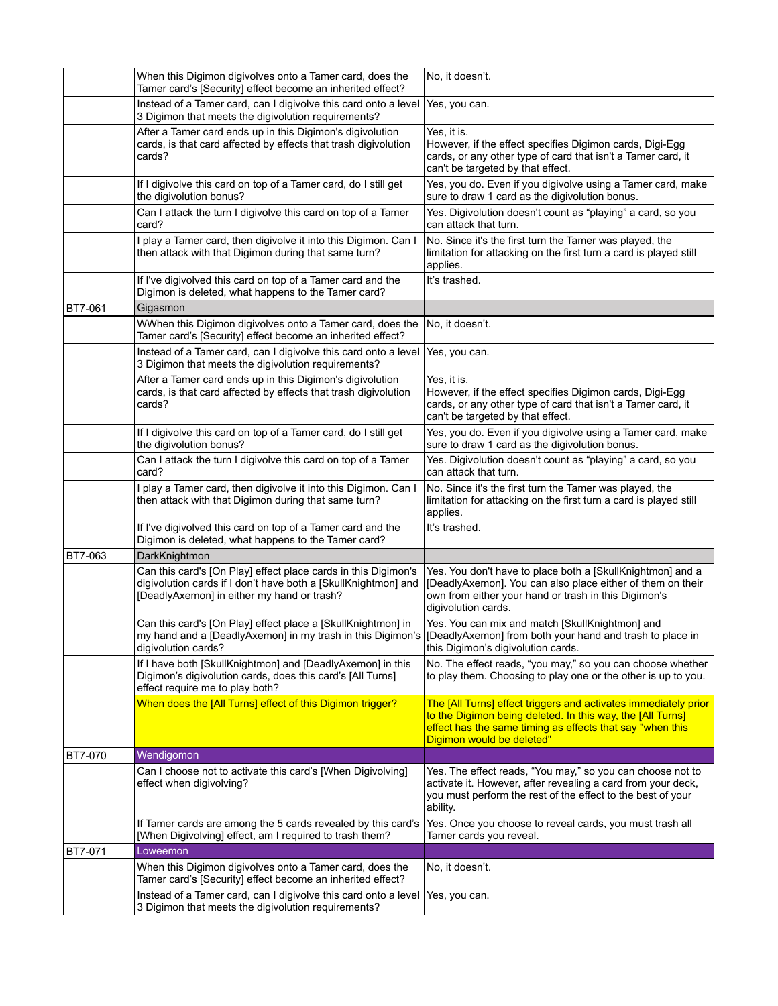|                | When this Digimon digivolves onto a Tamer card, does the<br>Tamer card's [Security] effect become an inherited effect?                                                                                      | No, it doesn't.                                                                                                                                                                                                         |
|----------------|-------------------------------------------------------------------------------------------------------------------------------------------------------------------------------------------------------------|-------------------------------------------------------------------------------------------------------------------------------------------------------------------------------------------------------------------------|
|                | Instead of a Tamer card, can I digivolve this card onto a level<br>3 Digimon that meets the digivolution requirements?                                                                                      | Yes, you can.                                                                                                                                                                                                           |
|                | After a Tamer card ends up in this Digimon's digivolution<br>cards, is that card affected by effects that trash digivolution<br>cards?                                                                      | Yes, it is.<br>However, if the effect specifies Digimon cards, Digi-Egg<br>cards, or any other type of card that isn't a Tamer card, it<br>can't be targeted by that effect.                                            |
|                | If I digivolve this card on top of a Tamer card, do I still get<br>the digivolution bonus?                                                                                                                  | Yes, you do. Even if you digivolve using a Tamer card, make<br>sure to draw 1 card as the digivolution bonus.                                                                                                           |
|                | Can I attack the turn I digivolve this card on top of a Tamer<br>card?                                                                                                                                      | Yes. Digivolution doesn't count as "playing" a card, so you<br>can attack that turn.                                                                                                                                    |
|                | I play a Tamer card, then digivolve it into this Digimon. Can I<br>then attack with that Digimon during that same turn?                                                                                     | No. Since it's the first turn the Tamer was played, the<br>limitation for attacking on the first turn a card is played still<br>applies.                                                                                |
|                | If I've digivolved this card on top of a Tamer card and the<br>Digimon is deleted, what happens to the Tamer card?                                                                                          | It's trashed.                                                                                                                                                                                                           |
| BT7-061        | Gigasmon                                                                                                                                                                                                    |                                                                                                                                                                                                                         |
|                | WWhen this Digimon digivolves onto a Tamer card, does the<br>Tamer card's [Security] effect become an inherited effect?                                                                                     | No, it doesn't.                                                                                                                                                                                                         |
|                | Instead of a Tamer card, can I digivolve this card onto a level<br>3 Digimon that meets the digivolution requirements?                                                                                      | Yes, you can.                                                                                                                                                                                                           |
|                | After a Tamer card ends up in this Digimon's digivolution<br>cards, is that card affected by effects that trash digivolution<br>cards?                                                                      | Yes. it is.<br>However, if the effect specifies Digimon cards, Digi-Egg<br>cards, or any other type of card that isn't a Tamer card, it<br>can't be targeted by that effect.                                            |
|                | If I digivolve this card on top of a Tamer card, do I still get<br>the digivolution bonus?                                                                                                                  | Yes, you do. Even if you digivolve using a Tamer card, make<br>sure to draw 1 card as the digivolution bonus.                                                                                                           |
|                | Can I attack the turn I digivolve this card on top of a Tamer<br>card?                                                                                                                                      | Yes. Digivolution doesn't count as "playing" a card, so you<br>can attack that turn.                                                                                                                                    |
|                | I play a Tamer card, then digivolve it into this Digimon. Can I<br>then attack with that Digimon during that same turn?                                                                                     | No. Since it's the first turn the Tamer was played, the<br>limitation for attacking on the first turn a card is played still<br>applies.                                                                                |
|                | If I've digivolved this card on top of a Tamer card and the<br>Digimon is deleted, what happens to the Tamer card?                                                                                          | It's trashed.                                                                                                                                                                                                           |
| BT7-063        | DarkKnightmon                                                                                                                                                                                               |                                                                                                                                                                                                                         |
|                | Can this card's [On Play] effect place cards in this Digimon's<br>digivolution cards if I don't have both a [SkullKnightmon] and<br>[DeadlyAxemon] in either my hand or trash?                              | Yes. You don't have to place both a [SkullKnightmon] and a<br>[DeadlyAxemon]. You can also place either of them on their<br>own from either your hand or trash in this Digimon's<br>digivolution cards.                 |
|                | Can this card's [On Play] effect place a [SkullKnightmon] in<br>my hand and a [DeadlyAxemon] in my trash in this Digimon's  [DeadlyAxemon] from both your hand and trash to place in<br>digivolution cards? | Yes. You can mix and match [SkullKnightmon] and<br>this Digimon's digivolution cards.                                                                                                                                   |
|                | If I have both [SkullKnightmon] and [DeadlyAxemon] in this<br>Digimon's digivolution cards, does this card's [All Turns]<br>effect require me to play both?                                                 | No. The effect reads, "you may," so you can choose whether<br>to play them. Choosing to play one or the other is up to you.                                                                                             |
|                | When does the [All Turns] effect of this Digimon trigger?                                                                                                                                                   | The [All Turns] effect triggers and activates immediately prior<br>to the Digimon being deleted. In this way, the [All Turns]<br>effect has the same timing as effects that say "when this<br>Digimon would be deleted" |
| <b>BT7-070</b> | Wendigomon                                                                                                                                                                                                  |                                                                                                                                                                                                                         |
|                | Can I choose not to activate this card's [When Digivolving]<br>effect when digivolving?                                                                                                                     | Yes. The effect reads, "You may," so you can choose not to<br>activate it. However, after revealing a card from your deck,<br>you must perform the rest of the effect to the best of your<br>ability.                   |
|                | If Tamer cards are among the 5 cards revealed by this card's<br>[When Digivolving] effect, am I required to trash them?                                                                                     | Yes. Once you choose to reveal cards, you must trash all<br>Tamer cards you reveal.                                                                                                                                     |
| BT7-071        | Loweemon                                                                                                                                                                                                    |                                                                                                                                                                                                                         |
|                | When this Digimon digivolves onto a Tamer card, does the<br>Tamer card's [Security] effect become an inherited effect?                                                                                      | No, it doesn't.                                                                                                                                                                                                         |
|                | Instead of a Tamer card, can I digivolve this card onto a level<br>3 Digimon that meets the digivolution requirements?                                                                                      | Yes, you can.                                                                                                                                                                                                           |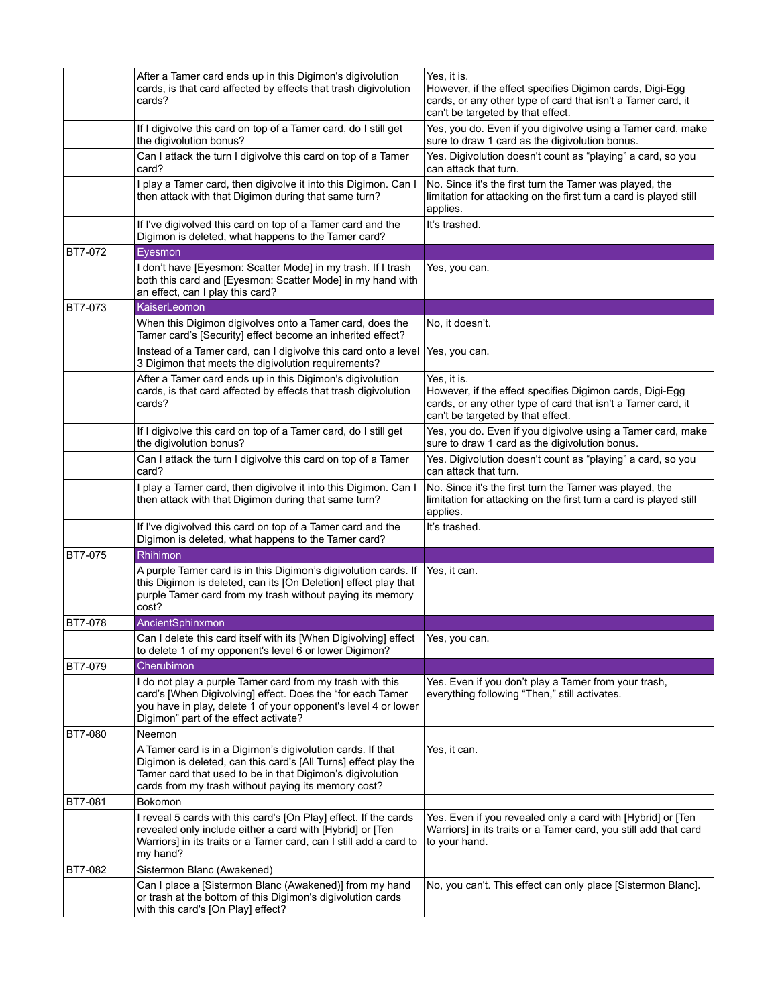|                | After a Tamer card ends up in this Digimon's digivolution<br>cards, is that card affected by effects that trash digivolution<br>cards?                                                                                                            | Yes, it is.<br>However, if the effect specifies Digimon cards, Digi-Egg<br>cards, or any other type of card that isn't a Tamer card, it<br>can't be targeted by that effect. |
|----------------|---------------------------------------------------------------------------------------------------------------------------------------------------------------------------------------------------------------------------------------------------|------------------------------------------------------------------------------------------------------------------------------------------------------------------------------|
|                | If I digivolve this card on top of a Tamer card, do I still get<br>the digivolution bonus?                                                                                                                                                        | Yes, you do. Even if you digivolve using a Tamer card, make<br>sure to draw 1 card as the digivolution bonus.                                                                |
|                | Can I attack the turn I digivolve this card on top of a Tamer<br>card?                                                                                                                                                                            | Yes. Digivolution doesn't count as "playing" a card, so you<br>can attack that turn.                                                                                         |
|                | I play a Tamer card, then digivolve it into this Digimon. Can I<br>then attack with that Digimon during that same turn?                                                                                                                           | No. Since it's the first turn the Tamer was played, the<br>limitation for attacking on the first turn a card is played still<br>applies.                                     |
|                | If I've digivolved this card on top of a Tamer card and the<br>Digimon is deleted, what happens to the Tamer card?                                                                                                                                | It's trashed.                                                                                                                                                                |
| BT7-072        | Eyesmon                                                                                                                                                                                                                                           |                                                                                                                                                                              |
|                | I don't have [Eyesmon: Scatter Mode] in my trash. If I trash<br>both this card and [Eyesmon: Scatter Mode] in my hand with<br>an effect, can I play this card?                                                                                    | Yes, you can.                                                                                                                                                                |
| <b>BT7-073</b> | KaiserLeomon                                                                                                                                                                                                                                      |                                                                                                                                                                              |
|                | When this Digimon digivolves onto a Tamer card, does the<br>Tamer card's [Security] effect become an inherited effect?                                                                                                                            | No, it doesn't.                                                                                                                                                              |
|                | Instead of a Tamer card, can I digivolve this card onto a level<br>3 Digimon that meets the digivolution requirements?                                                                                                                            | Yes, you can.                                                                                                                                                                |
|                | After a Tamer card ends up in this Digimon's digivolution<br>cards, is that card affected by effects that trash digivolution<br>cards?                                                                                                            | Yes, it is.<br>However, if the effect specifies Digimon cards, Digi-Egg<br>cards, or any other type of card that isn't a Tamer card, it<br>can't be targeted by that effect. |
|                | If I digivolve this card on top of a Tamer card, do I still get<br>the digivolution bonus?                                                                                                                                                        | Yes, you do. Even if you digivolve using a Tamer card, make<br>sure to draw 1 card as the digivolution bonus.                                                                |
|                | Can I attack the turn I digivolve this card on top of a Tamer<br>card?                                                                                                                                                                            | Yes. Digivolution doesn't count as "playing" a card, so you<br>can attack that turn.                                                                                         |
|                | I play a Tamer card, then digivolve it into this Digimon. Can I<br>then attack with that Digimon during that same turn?                                                                                                                           | No. Since it's the first turn the Tamer was played, the<br>limitation for attacking on the first turn a card is played still<br>applies.                                     |
|                | If I've digivolved this card on top of a Tamer card and the<br>Digimon is deleted, what happens to the Tamer card?                                                                                                                                | It's trashed.                                                                                                                                                                |
| <b>BT7-075</b> | Rhihimon                                                                                                                                                                                                                                          |                                                                                                                                                                              |
|                | A purple Tamer card is in this Digimon's digivolution cards. If<br>this Digimon is deleted, can its [On Deletion] effect play that<br>purple Tamer card from my trash without paying its memory<br>cost?                                          | Yes, it can.                                                                                                                                                                 |
| <b>BT7-078</b> | AncientSphinxmon                                                                                                                                                                                                                                  |                                                                                                                                                                              |
|                | Can I delete this card itself with its [When Digivolving] effect<br>to delete 1 of my opponent's level 6 or lower Digimon?                                                                                                                        | Yes, you can.                                                                                                                                                                |
| <b>BT7-079</b> | Cherubimon                                                                                                                                                                                                                                        |                                                                                                                                                                              |
|                | I do not play a purple Tamer card from my trash with this<br>card's [When Digivolving] effect. Does the "for each Tamer<br>you have in play, delete 1 of your opponent's level 4 or lower<br>Digimon" part of the effect activate?                | Yes. Even if you don't play a Tamer from your trash,<br>everything following "Then," still activates.                                                                        |
| <b>BT7-080</b> | Neemon                                                                                                                                                                                                                                            |                                                                                                                                                                              |
|                | A Tamer card is in a Digimon's digivolution cards. If that<br>Digimon is deleted, can this card's [All Turns] effect play the<br>Tamer card that used to be in that Digimon's digivolution<br>cards from my trash without paying its memory cost? | Yes, it can.                                                                                                                                                                 |
| <b>BT7-081</b> | Bokomon                                                                                                                                                                                                                                           |                                                                                                                                                                              |
|                | I reveal 5 cards with this card's [On Play] effect. If the cards<br>revealed only include either a card with [Hybrid] or [Ten<br>Warriors] in its traits or a Tamer card, can I still add a card to<br>my hand?                                   | Yes. Even if you revealed only a card with [Hybrid] or [Ten<br>Warriors] in its traits or a Tamer card, you still add that card<br>to your hand.                             |
| <b>BT7-082</b> | Sistermon Blanc (Awakened)                                                                                                                                                                                                                        |                                                                                                                                                                              |
|                | Can I place a [Sistermon Blanc (Awakened)] from my hand<br>or trash at the bottom of this Digimon's digivolution cards<br>with this card's [On Play] effect?                                                                                      | No, you can't. This effect can only place [Sistermon Blanc].                                                                                                                 |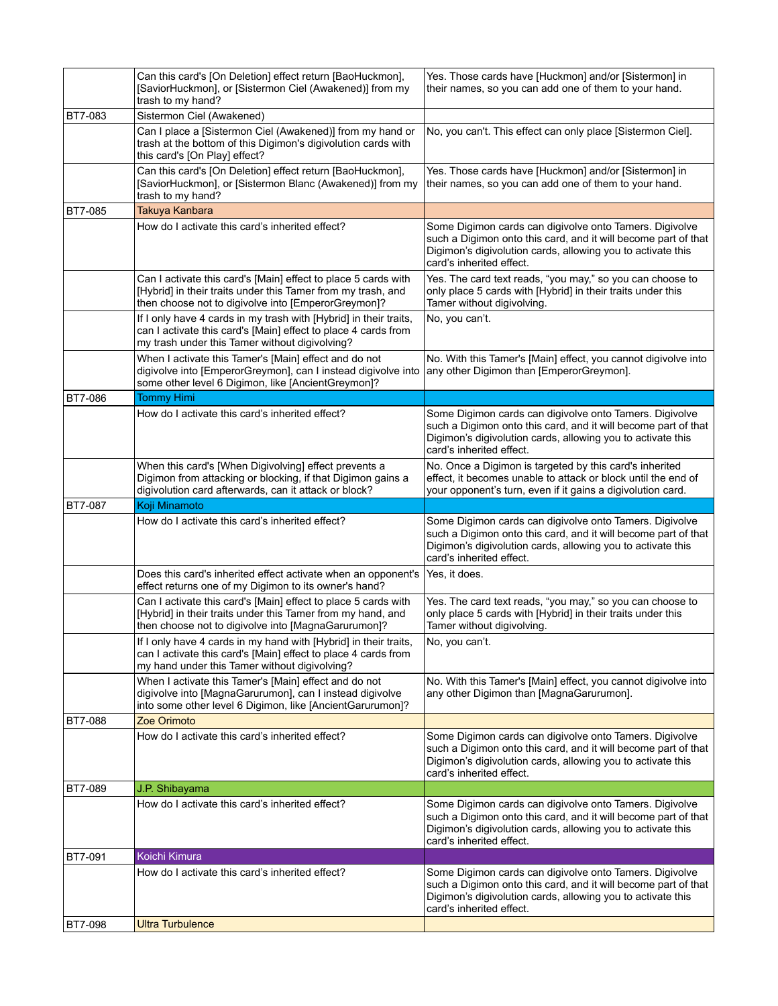|                | Can this card's [On Deletion] effect return [BaoHuckmon],<br>[SaviorHuckmon], or [Sistermon Ciel (Awakened)] from my<br>trash to my hand?                                             | Yes. Those cards have [Huckmon] and/or [Sistermon] in<br>their names, so you can add one of them to your hand.                                                                                                       |
|----------------|---------------------------------------------------------------------------------------------------------------------------------------------------------------------------------------|----------------------------------------------------------------------------------------------------------------------------------------------------------------------------------------------------------------------|
| <b>BT7-083</b> | Sistermon Ciel (Awakened)                                                                                                                                                             |                                                                                                                                                                                                                      |
|                | Can I place a [Sistermon Ciel (Awakened)] from my hand or<br>trash at the bottom of this Digimon's digivolution cards with<br>this card's [On Play] effect?                           | No, you can't. This effect can only place [Sistermon Ciel].                                                                                                                                                          |
|                | Can this card's [On Deletion] effect return [BaoHuckmon],<br>[SaviorHuckmon], or [Sistermon Blanc (Awakened)] from my<br>trash to my hand?                                            | Yes. Those cards have [Huckmon] and/or [Sistermon] in<br>their names, so you can add one of them to your hand.                                                                                                       |
| BT7-085        | Takuya Kanbara                                                                                                                                                                        |                                                                                                                                                                                                                      |
|                | How do I activate this card's inherited effect?                                                                                                                                       | Some Digimon cards can digivolve onto Tamers. Digivolve<br>such a Digimon onto this card, and it will become part of that<br>Digimon's digivolution cards, allowing you to activate this<br>card's inherited effect. |
|                | Can I activate this card's [Main] effect to place 5 cards with<br>[Hybrid] in their traits under this Tamer from my trash, and<br>then choose not to digivolve into [EmperorGreymon]? | Yes. The card text reads, "you may," so you can choose to<br>only place 5 cards with [Hybrid] in their traits under this<br>Tamer without digivolving.                                                               |
|                | If I only have 4 cards in my trash with [Hybrid] in their traits,<br>can I activate this card's [Main] effect to place 4 cards from<br>my trash under this Tamer without digivolving? | No, you can't.                                                                                                                                                                                                       |
|                | When I activate this Tamer's [Main] effect and do not<br>digivolve into [EmperorGreymon], can I instead digivolve into<br>some other level 6 Digimon, like [AncientGreymon]?          | No. With this Tamer's [Main] effect, you cannot digivolve into<br>any other Digimon than [EmperorGreymon].                                                                                                           |
| <b>BT7-086</b> | <b>Tommy Himi</b>                                                                                                                                                                     |                                                                                                                                                                                                                      |
|                | How do I activate this card's inherited effect?                                                                                                                                       | Some Digimon cards can digivolve onto Tamers. Digivolve<br>such a Digimon onto this card, and it will become part of that<br>Digimon's digivolution cards, allowing you to activate this<br>card's inherited effect. |
|                | When this card's [When Digivolving] effect prevents a<br>Digimon from attacking or blocking, if that Digimon gains a<br>digivolution card afterwards, can it attack or block?         | No. Once a Digimon is targeted by this card's inherited<br>effect, it becomes unable to attack or block until the end of<br>your opponent's turn, even if it gains a digivolution card.                              |
|                |                                                                                                                                                                                       |                                                                                                                                                                                                                      |
| <b>BT7-087</b> | Koji Minamoto                                                                                                                                                                         |                                                                                                                                                                                                                      |
|                | How do I activate this card's inherited effect?                                                                                                                                       | Some Digimon cards can digivolve onto Tamers. Digivolve<br>such a Digimon onto this card, and it will become part of that<br>Digimon's digivolution cards, allowing you to activate this<br>card's inherited effect. |
|                | Does this card's inherited effect activate when an opponent's<br>effect returns one of my Digimon to its owner's hand?                                                                | Yes, it does.                                                                                                                                                                                                        |
|                | Can I activate this card's [Main] effect to place 5 cards with<br>[Hybrid] in their traits under this Tamer from my hand, and<br>then choose not to digivolve into [MagnaGarurumon]?  | Yes. The card text reads, "you may," so you can choose to<br>only place 5 cards with [Hybrid] in their traits under this<br>Tamer without digivolving.                                                               |
|                | If I only have 4 cards in my hand with [Hybrid] in their traits,<br>can I activate this card's [Main] effect to place 4 cards from<br>my hand under this Tamer without digivolving?   | No, you can't.                                                                                                                                                                                                       |
|                | When I activate this Tamer's [Main] effect and do not<br>digivolve into [MagnaGarurumon], can I instead digivolve<br>into some other level 6 Digimon, like [AncientGarurumon]?        | No. With this Tamer's [Main] effect, you cannot digivolve into<br>any other Digimon than [MagnaGarurumon].                                                                                                           |
| <b>BT7-088</b> | Zoe Orimoto                                                                                                                                                                           |                                                                                                                                                                                                                      |
|                | How do I activate this card's inherited effect?                                                                                                                                       | Some Digimon cards can digivolve onto Tamers. Digivolve<br>such a Digimon onto this card, and it will become part of that<br>Digimon's digivolution cards, allowing you to activate this<br>card's inherited effect. |
| <b>BT7-089</b> | J.P. Shibayama                                                                                                                                                                        |                                                                                                                                                                                                                      |
|                | How do I activate this card's inherited effect?                                                                                                                                       | Some Digimon cards can digivolve onto Tamers. Digivolve<br>such a Digimon onto this card, and it will become part of that<br>Digimon's digivolution cards, allowing you to activate this<br>card's inherited effect. |
| BT7-091        | Koichi Kimura                                                                                                                                                                         |                                                                                                                                                                                                                      |
| <b>BT7-098</b> | How do I activate this card's inherited effect?<br><b>Ultra Turbulence</b>                                                                                                            | Some Digimon cards can digivolve onto Tamers. Digivolve<br>such a Digimon onto this card, and it will become part of that<br>Digimon's digivolution cards, allowing you to activate this<br>card's inherited effect. |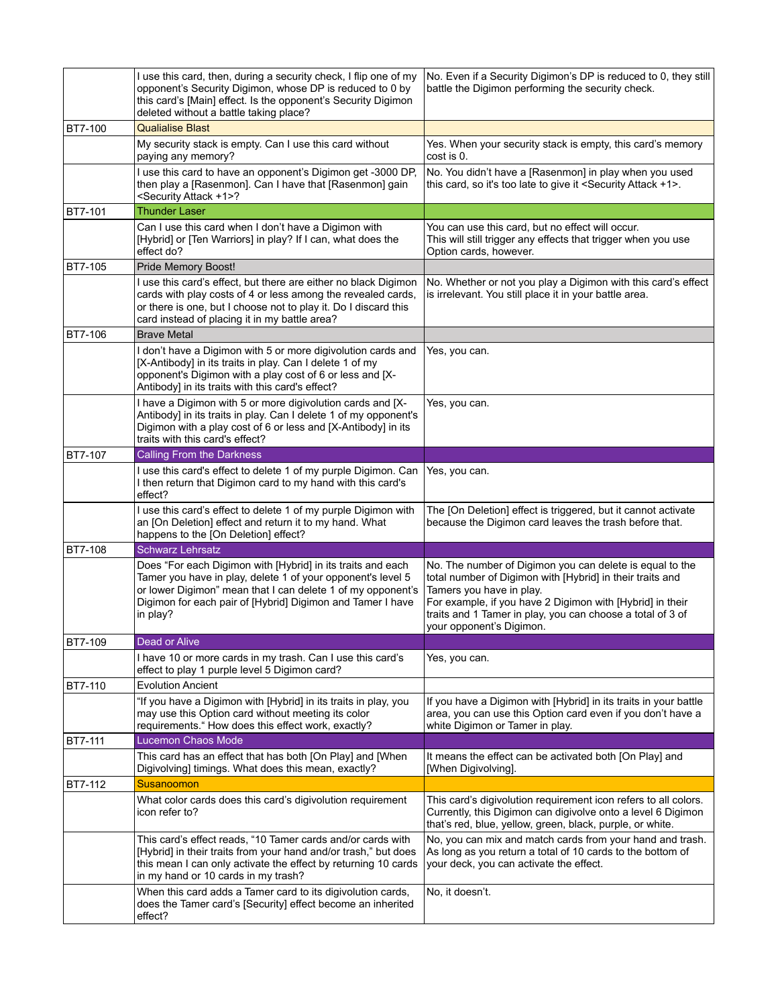|                | I use this card, then, during a security check, I flip one of my<br>opponent's Security Digimon, whose DP is reduced to 0 by<br>this card's [Main] effect. Is the opponent's Security Digimon<br>deleted without a battle taking place?                             | No. Even if a Security Digimon's DP is reduced to 0, they still<br>battle the Digimon performing the security check.                                                                                                                                                                                     |
|----------------|---------------------------------------------------------------------------------------------------------------------------------------------------------------------------------------------------------------------------------------------------------------------|----------------------------------------------------------------------------------------------------------------------------------------------------------------------------------------------------------------------------------------------------------------------------------------------------------|
| <b>BT7-100</b> | <b>Qualialise Blast</b>                                                                                                                                                                                                                                             |                                                                                                                                                                                                                                                                                                          |
|                | My security stack is empty. Can I use this card without<br>paying any memory?                                                                                                                                                                                       | Yes. When your security stack is empty, this card's memory<br>cost is 0.                                                                                                                                                                                                                                 |
|                | I use this card to have an opponent's Digimon get -3000 DP,<br>then play a [Rasenmon]. Can I have that [Rasenmon] gain<br><security +1="" attack="">?</security>                                                                                                    | No. You didn't have a [Rasenmon] in play when you used<br>this card, so it's too late to give it <security +1="" attack="">.</security>                                                                                                                                                                  |
| <b>BT7-101</b> | <b>Thunder Laser</b>                                                                                                                                                                                                                                                |                                                                                                                                                                                                                                                                                                          |
|                | Can I use this card when I don't have a Digimon with<br>[Hybrid] or [Ten Warriors] in play? If I can, what does the<br>effect do?                                                                                                                                   | You can use this card, but no effect will occur.<br>This will still trigger any effects that trigger when you use<br>Option cards, however.                                                                                                                                                              |
| BT7-105        | Pride Memory Boost!                                                                                                                                                                                                                                                 |                                                                                                                                                                                                                                                                                                          |
|                | I use this card's effect, but there are either no black Digimon<br>cards with play costs of 4 or less among the revealed cards,<br>or there is one, but I choose not to play it. Do I discard this<br>card instead of placing it in my battle area?                 | No. Whether or not you play a Digimon with this card's effect<br>is irrelevant. You still place it in your battle area.                                                                                                                                                                                  |
| BT7-106        | <b>Brave Metal</b>                                                                                                                                                                                                                                                  |                                                                                                                                                                                                                                                                                                          |
|                | I don't have a Digimon with 5 or more digivolution cards and<br>[X-Antibody] in its traits in play. Can I delete 1 of my<br>opponent's Digimon with a play cost of 6 or less and [X-<br>Antibody] in its traits with this card's effect?                            | Yes, you can.                                                                                                                                                                                                                                                                                            |
|                | I have a Digimon with 5 or more digivolution cards and [X-<br>Antibody] in its traits in play. Can I delete 1 of my opponent's<br>Digimon with a play cost of 6 or less and [X-Antibody] in its<br>traits with this card's effect?                                  | Yes, you can.                                                                                                                                                                                                                                                                                            |
| BT7-107        | <b>Calling From the Darkness</b>                                                                                                                                                                                                                                    |                                                                                                                                                                                                                                                                                                          |
|                | I use this card's effect to delete 1 of my purple Digimon. Can<br>I then return that Digimon card to my hand with this card's<br>effect?                                                                                                                            | Yes, you can.                                                                                                                                                                                                                                                                                            |
|                | I use this card's effect to delete 1 of my purple Digimon with<br>an [On Deletion] effect and return it to my hand. What<br>happens to the [On Deletion] effect?                                                                                                    | The [On Deletion] effect is triggered, but it cannot activate<br>because the Digimon card leaves the trash before that.                                                                                                                                                                                  |
| BT7-108        | <b>Schwarz Lehrsatz</b>                                                                                                                                                                                                                                             |                                                                                                                                                                                                                                                                                                          |
|                | Does "For each Digimon with [Hybrid] in its traits and each<br>Tamer you have in play, delete 1 of your opponent's level 5<br>or lower Digimon" mean that I can delete 1 of my opponent's<br>Digimon for each pair of [Hybrid] Digimon and Tamer I have<br>in play? | No. The number of Digimon you can delete is equal to the<br>total number of Digimon with [Hybrid] in their traits and<br>Tamers you have in play.<br>For example, if you have 2 Digimon with [Hybrid] in their<br>traits and 1 Tamer in play, you can choose a total of 3 of<br>your opponent's Digimon. |
| BT7-109        | Dead or Alive                                                                                                                                                                                                                                                       |                                                                                                                                                                                                                                                                                                          |
|                | I have 10 or more cards in my trash. Can I use this card's<br>effect to play 1 purple level 5 Digimon card?                                                                                                                                                         | Yes, you can.                                                                                                                                                                                                                                                                                            |
| BT7-110        | <b>Evolution Ancient</b>                                                                                                                                                                                                                                            |                                                                                                                                                                                                                                                                                                          |
|                | "If you have a Digimon with [Hybrid] in its traits in play, you<br>may use this Option card without meeting its color<br>requirements." How does this effect work, exactly?                                                                                         | If you have a Digimon with [Hybrid] in its traits in your battle<br>area, you can use this Option card even if you don't have a<br>white Digimon or Tamer in play.                                                                                                                                       |
| <b>BT7-111</b> | <b>Lucemon Chaos Mode</b>                                                                                                                                                                                                                                           |                                                                                                                                                                                                                                                                                                          |
|                | This card has an effect that has both [On Play] and [When<br>Digivolving] timings. What does this mean, exactly?                                                                                                                                                    | It means the effect can be activated both [On Play] and<br>[When Digivolving].                                                                                                                                                                                                                           |
| BT7-112        | Susanoomon                                                                                                                                                                                                                                                          |                                                                                                                                                                                                                                                                                                          |
|                | What color cards does this card's digivolution requirement<br>icon refer to?                                                                                                                                                                                        | This card's digivolution requirement icon refers to all colors.<br>Currently, this Digimon can digivolve onto a level 6 Digimon<br>that's red, blue, yellow, green, black, purple, or white.                                                                                                             |
|                | This card's effect reads, "10 Tamer cards and/or cards with<br>[Hybrid] in their traits from your hand and/or trash," but does<br>this mean I can only activate the effect by returning 10 cards<br>in my hand or 10 cards in my trash?                             | No, you can mix and match cards from your hand and trash.<br>As long as you return a total of 10 cards to the bottom of<br>your deck, you can activate the effect.                                                                                                                                       |
|                | When this card adds a Tamer card to its digivolution cards,<br>does the Tamer card's [Security] effect become an inherited<br>effect?                                                                                                                               | No, it doesn't.                                                                                                                                                                                                                                                                                          |